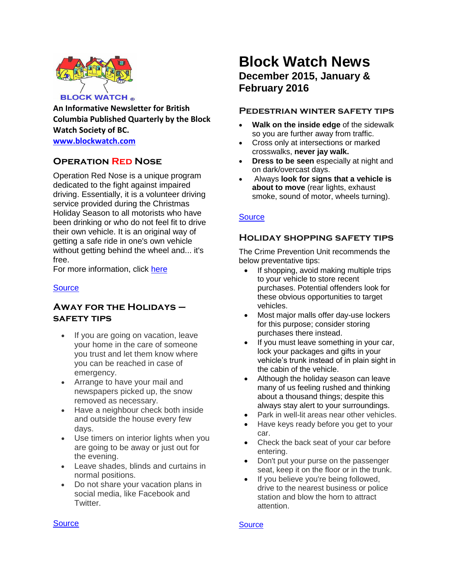

**An Informative Newsletter for British Columbia Published Quarterly by the Block Watch Society of BC.**

**[www.blockwatch.com](http://www.blockwatch.com/)**

# **Operation Red Nose**

Operation Red Nose is a unique program dedicated to the fight against impaired driving. Essentially, it is a volunteer driving service provided during the Christmas Holiday Season to all motorists who have been drinking or who do not feel fit to drive their own vehicle. It is an original way of getting a safe ride in one's own vehicle without getting behind the wheel and... it's free.

For more information, click [here](https://operationrednose.com/)

### **[Source](http://www.icbc.com/road-safety/community/Pages/Operation-Red-Nose.aspx)**

# **Away for the Holidays – safety tips**

- If you are going on vacation, leave your home in the care of someone you trust and let them know where you can be reached in case of emergency.
- Arrange to have your mail and newspapers picked up, the snow removed as necessary.
- Have a neighbour check both inside and outside the house every few days.
- Use timers on interior lights when you are going to be away or just out for the evening.
- Leave shades, blinds and curtains in normal positions.
- Do not share your vacation plans in social media, like Facebook and Twitter.

# **Block Watch News December 2015, January & February 2016**

### **Pedestrian winter safety tips**

- **Walk on the inside edge** of the sidewalk so you are further away from traffic.
- Cross only at intersections or marked crosswalks, **never jay walk.**
- **Dress to be seen** especially at night and on dark/overcast days.
- Always **look for signs that a vehicle is about to move** (rear lights, exhaust smoke, sound of motor, wheels turning).

### **[Source](http://bc.cb.rcmp-grc.gc.ca/ViewPage.action?siteNodeId=87&languageId=1&contentId=32279)**

### **Holiday shopping safety tips**

The Crime Prevention Unit recommends the below preventative tips:

- If shopping, avoid making multiple trips to your vehicle to store recent purchases. Potential offenders look for these obvious opportunities to target vehicles.
- Most major malls offer day-use lockers for this purpose; consider storing purchases there instead.
- If you must leave something in your car, lock your packages and gifts in your vehicle's trunk instead of in plain sight in the cabin of the vehicle.
- Although the holiday season can leave many of us feeling rushed and thinking about a thousand things; despite this always stay alert to your surroundings.
- Park in well-lit areas near other vehicles.
- Have keys ready before you get to your car.
- Check the back seat of your car before entering.
- Don't put your purse on the passenger seat, keep it on the floor or in the trunk.
- If you believe you're being followed, drive to the nearest business or police station and blow the horn to attract attention.

#### **[Source](http://bc.cb.rcmp-grc.gc.ca/ViewPage.action?siteNodeId=50&languageId=1&contentId=32764)**

#### **[Source](http://vancouver.ca/police/crime-prevention/for-homes-rental-properties/home-security.html)**